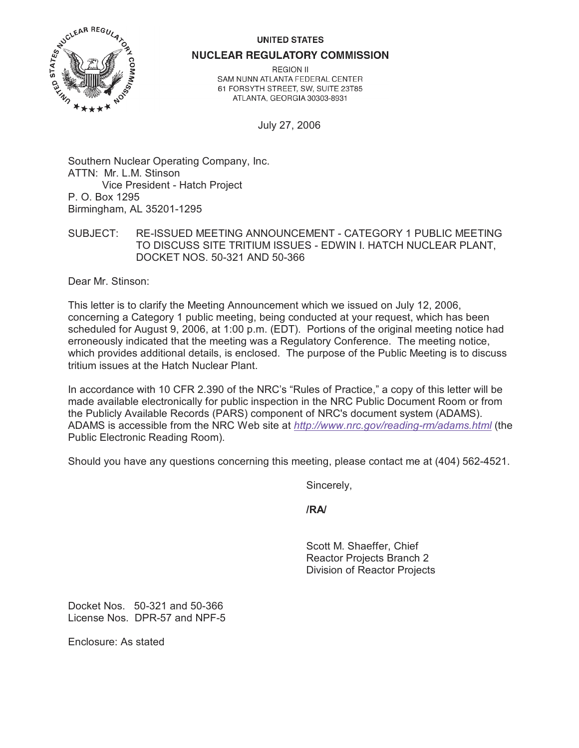## **UNITED STATES**



**NUCLEAR REGULATORY COMMISSION** 

**REGION II** SAM NUNN ATLANTA FEDERAL CENTER 61 FORSYTH STREET, SW, SUITE 23T85 ATLANTA, GEORGIA 30303-8931

July 27, 2006

Southern Nuclear Operating Company, Inc. ATTN: Mr. L.M. Stinson Vice President - Hatch Project P. O. Box 1295 Birmingham, AL 35201-1295

SUBJECT: RE-ISSUED MEETING ANNOUNCEMENT - CATEGORY 1 PUBLIC MEETING TO DISCUSS SITE TRITIUM ISSUES - EDWIN I. HATCH NUCLEAR PLANT, DOCKET NOS. 50-321 AND 50-366

Dear Mr. Stinson:

This letter is to clarify the Meeting Announcement which we issued on July 12, 2006, concerning a Category 1 public meeting, being conducted at your request, which has been scheduled for August 9, 2006, at 1:00 p.m. (EDT). Portions of the original meeting notice had erroneously indicated that the meeting was a Regulatory Conference. The meeting notice, which provides additional details, is enclosed. The purpose of the Public Meeting is to discuss tritium issues at the Hatch Nuclear Plant.

In accordance with 10 CFR 2.390 of the NRC's "Rules of Practice," a copy of this letter will be made available electronically for public inspection in the NRC Public Document Room or from the Publicly Available Records (PARS) component of NRC's document system (ADAMS). ADAMS is accessible from the NRC Web site at *http://www.nrc.gov/reading-rm/adams.html* (the Public Electronic Reading Room).

Should you have any questions concerning this meeting, please contact me at (404) 562-4521.

Sincerely,

**/RA/**

Scott M. Shaeffer, Chief Reactor Projects Branch 2 Division of Reactor Projects

Docket Nos. 50-321 and 50-366 License Nos. DPR-57 and NPF-5

Enclosure: As stated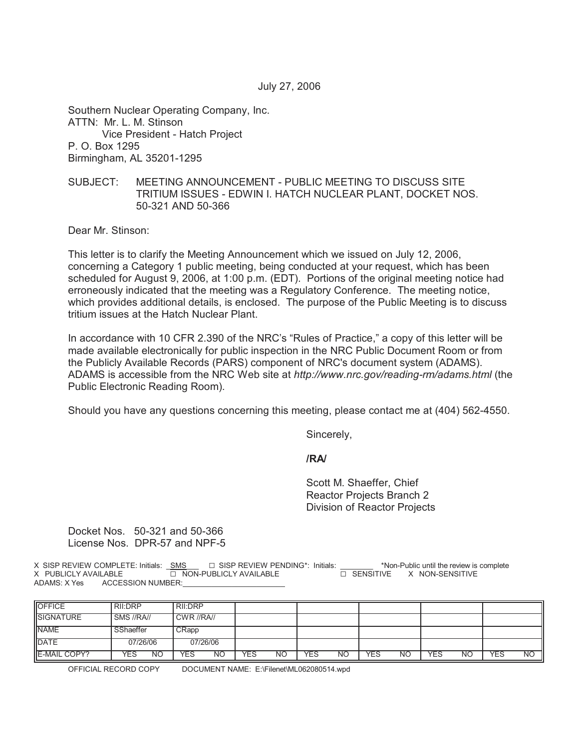July 27, 2006

Southern Nuclear Operating Company, Inc. ATTN: Mr. L. M. Stinson Vice President - Hatch Project P. O. Box 1295 Birmingham, AL 35201-1295

## SUBJECT: MEETING ANNOUNCEMENT - PUBLIC MEETING TO DISCUSS SITE TRITIUM ISSUES - EDWIN I. HATCH NUCLEAR PLANT, DOCKET NOS. 50-321 AND 50-366

Dear Mr. Stinson:

This letter is to clarify the Meeting Announcement which we issued on July 12, 2006, concerning a Category 1 public meeting, being conducted at your request, which has been scheduled for August 9, 2006, at 1:00 p.m. (EDT). Portions of the original meeting notice had erroneously indicated that the meeting was a Regulatory Conference. The meeting notice, which provides additional details, is enclosed. The purpose of the Public Meeting is to discuss tritium issues at the Hatch Nuclear Plant.

In accordance with 10 CFR 2.390 of the NRC's "Rules of Practice," a copy of this letter will be made available electronically for public inspection in the NRC Public Document Room or from the Publicly Available Records (PARS) component of NRC's document system (ADAMS). ADAMS is accessible from the NRC Web site at *http://www.nrc.gov/reading-rm/adams.html* (the Public Electronic Reading Room).

Should you have any questions concerning this meeting, please contact me at (404) 562-4550.

Sincerely,

**/RA/**

Scott M. Shaeffer, Chief Reactor Projects Branch 2 Division of Reactor Projects

Docket Nos. 50-321 and 50-366 License Nos. DPR-57 and NPF-5

X SISP REVIEW COMPLETE: Initials:  $\underline{\text{SMS}}$  G SISP REVIEW PENDING\*: Initials:  $\overline{\text{SMS}}$  \*Non-Public until the review is complete  $\overline{\text{SMS}}$  and  $\overline{\text{SMS}}$  and  $\overline{\text{SMS}}$  and  $\overline{\text{SMS}}$  and  $\overline{\text{SMS}}$  and  $\overline{\text{S$ **EX BUBLICLY AVAILABLE G NON-SENSITIVE** ADAMS: X Yes ACCESSION NUMBER:

| OFFICE       | <b>RII:DRP</b> | RII:DRP    |     |    |     |    |     |    |     |    |     |           |
|--------------|----------------|------------|-----|----|-----|----|-----|----|-----|----|-----|-----------|
| SIGNATURE    | SMS //RA//     | CWR //RA// |     |    |     |    |     |    |     |    |     |           |
| <b>NAME</b>  | SShaeffer      | CRapp      |     |    |     |    |     |    |     |    |     |           |
| <b>DATE</b>  | 07/26/06       | 07/26/06   |     |    |     |    |     |    |     |    |     |           |
| E-MAIL COPY? | YES<br>ΝO      | YES<br>NΟ  | YES | ΝO | YES | ΝO | YES | NΟ | YES | ΝO | YES | <b>NO</b> |

OFFICIAL RECORD COPY DOCUMENT NAME: E:\Filenet\ML062080514.wpd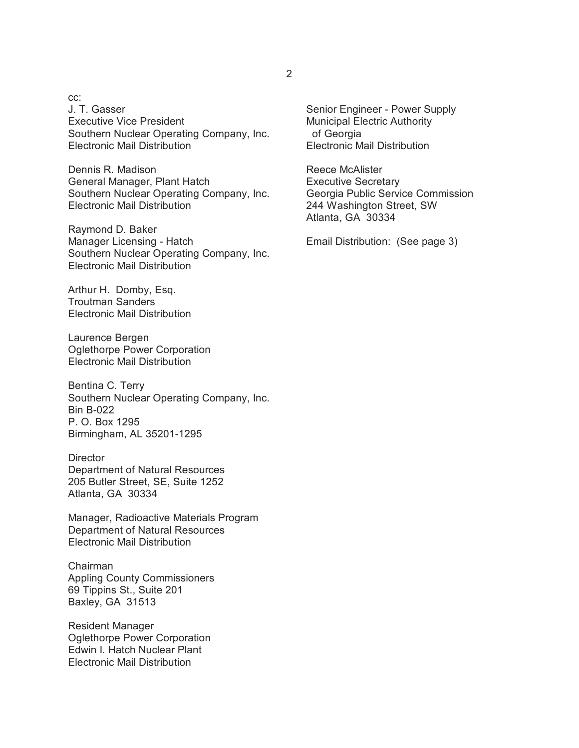cc: J. T. Gasser Executive Vice President Southern Nuclear Operating Company, Inc. Electronic Mail Distribution

Dennis R. Madison General Manager, Plant Hatch Southern Nuclear Operating Company, Inc. Electronic Mail Distribution

Raymond D. Baker Manager Licensing - Hatch Southern Nuclear Operating Company, Inc. Electronic Mail Distribution

Arthur H. Domby, Esq. Troutman Sanders Electronic Mail Distribution

Laurence Bergen Oglethorpe Power Corporation Electronic Mail Distribution

Bentina C. Terry Southern Nuclear Operating Company, Inc. Bin B-022 P. O. Box 1295 Birmingham, AL 35201-1295

**Director** Department of Natural Resources 205 Butler Street, SE, Suite 1252 Atlanta, GA 30334

Manager, Radioactive Materials Program Department of Natural Resources Electronic Mail Distribution

Chairman Appling County Commissioners 69 Tippins St., Suite 201 Baxley, GA 31513

Resident Manager Oglethorpe Power Corporation Edwin I. Hatch Nuclear Plant Electronic Mail Distribution

Senior Engineer - Power Supply Municipal Electric Authority of Georgia Electronic Mail Distribution

Reece McAlister Executive Secretary Georgia Public Service Commission 244 Washington Street, SW Atlanta, GA 30334

Email Distribution: (See page 3)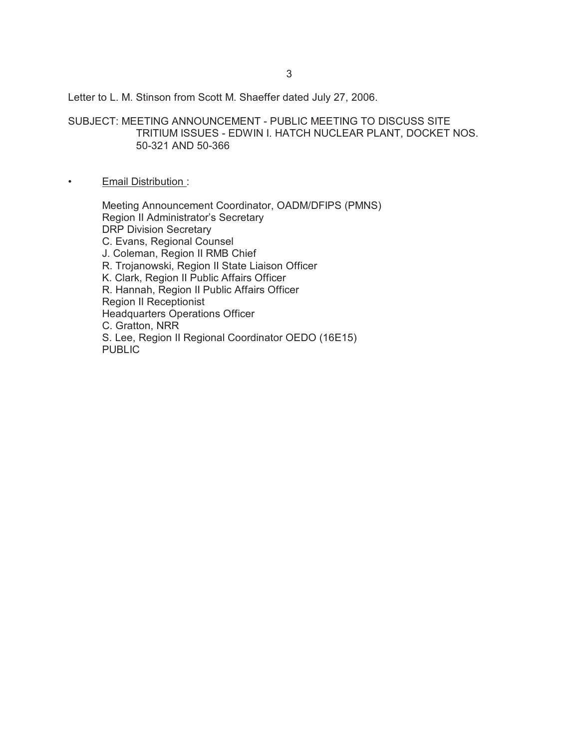Letter to L. M. Stinson from Scott M. Shaeffer dated July 27, 2006.

SUBJECT: MEETING ANNOUNCEMENT - PUBLIC MEETING TO DISCUSS SITE TRITIUM ISSUES - EDWIN I. HATCH NUCLEAR PLANT, DOCKET NOS. 50-321 AND 50-366

## • Email Distribution :

Meeting Announcement Coordinator, OADM/DFIPS (PMNS) Region II Administrator's Secretary DRP Division Secretary C. Evans, Regional Counsel J. Coleman, Region II RMB Chief R. Trojanowski, Region II State Liaison Officer K. Clark, Region II Public Affairs Officer R. Hannah, Region II Public Affairs Officer Region II Receptionist Headquarters Operations Officer C. Gratton, NRR S. Lee, Region II Regional Coordinator OEDO (16E15) **PUBLIC**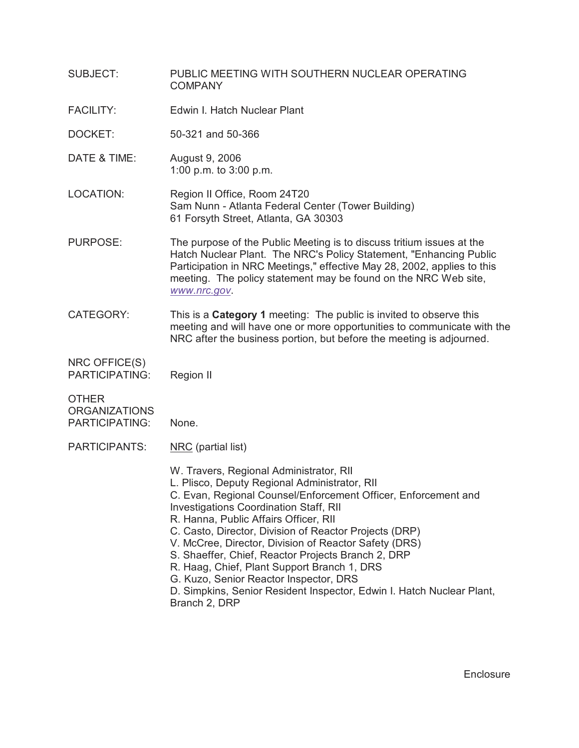| <b>SUBJECT:</b>                                        | PUBLIC MEETING WITH SOUTHERN NUCLEAR OPERATING<br><b>COMPANY</b>                                                                                                                                                                                                                                                                                                                                                                                                                                                                                                                                                 |  |  |  |
|--------------------------------------------------------|------------------------------------------------------------------------------------------------------------------------------------------------------------------------------------------------------------------------------------------------------------------------------------------------------------------------------------------------------------------------------------------------------------------------------------------------------------------------------------------------------------------------------------------------------------------------------------------------------------------|--|--|--|
| <b>FACILITY:</b>                                       | Edwin I. Hatch Nuclear Plant                                                                                                                                                                                                                                                                                                                                                                                                                                                                                                                                                                                     |  |  |  |
| DOCKET:                                                | 50-321 and 50-366                                                                                                                                                                                                                                                                                                                                                                                                                                                                                                                                                                                                |  |  |  |
| DATE & TIME:                                           | August 9, 2006<br>1:00 p.m. to 3:00 p.m.                                                                                                                                                                                                                                                                                                                                                                                                                                                                                                                                                                         |  |  |  |
| LOCATION:                                              | Region II Office, Room 24T20<br>Sam Nunn - Atlanta Federal Center (Tower Building)<br>61 Forsyth Street, Atlanta, GA 30303                                                                                                                                                                                                                                                                                                                                                                                                                                                                                       |  |  |  |
| <b>PURPOSE:</b>                                        | The purpose of the Public Meeting is to discuss tritium issues at the<br>Hatch Nuclear Plant. The NRC's Policy Statement, "Enhancing Public<br>Participation in NRC Meetings," effective May 28, 2002, applies to this<br>meeting. The policy statement may be found on the NRC Web site,<br>www.nrc.gov.                                                                                                                                                                                                                                                                                                        |  |  |  |
| <b>CATEGORY:</b>                                       | This is a <b>Category 1</b> meeting: The public is invited to observe this<br>meeting and will have one or more opportunities to communicate with the<br>NRC after the business portion, but before the meeting is adjourned.                                                                                                                                                                                                                                                                                                                                                                                    |  |  |  |
| NRC OFFICE(S)<br><b>PARTICIPATING:</b>                 | Region II                                                                                                                                                                                                                                                                                                                                                                                                                                                                                                                                                                                                        |  |  |  |
| <b>OTHER</b><br><b>ORGANIZATIONS</b><br>PARTICIPATING: | None.                                                                                                                                                                                                                                                                                                                                                                                                                                                                                                                                                                                                            |  |  |  |
| PARTICIPANTS:                                          | NRC (partial list)                                                                                                                                                                                                                                                                                                                                                                                                                                                                                                                                                                                               |  |  |  |
|                                                        | W. Travers, Regional Administrator, RII<br>L. Plisco, Deputy Regional Administrator, RII<br>C. Evan, Regional Counsel/Enforcement Officer, Enforcement and<br><b>Investigations Coordination Staff, RII</b><br>R. Hanna, Public Affairs Officer, RII<br>C. Casto, Director, Division of Reactor Projects (DRP)<br>V. McCree, Director, Division of Reactor Safety (DRS)<br>S. Shaeffer, Chief, Reactor Projects Branch 2, DRP<br>R. Haag, Chief, Plant Support Branch 1, DRS<br>G. Kuzo, Senior Reactor Inspector, DRS<br>D. Simpkins, Senior Resident Inspector, Edwin I. Hatch Nuclear Plant,<br>Branch 2, DRP |  |  |  |